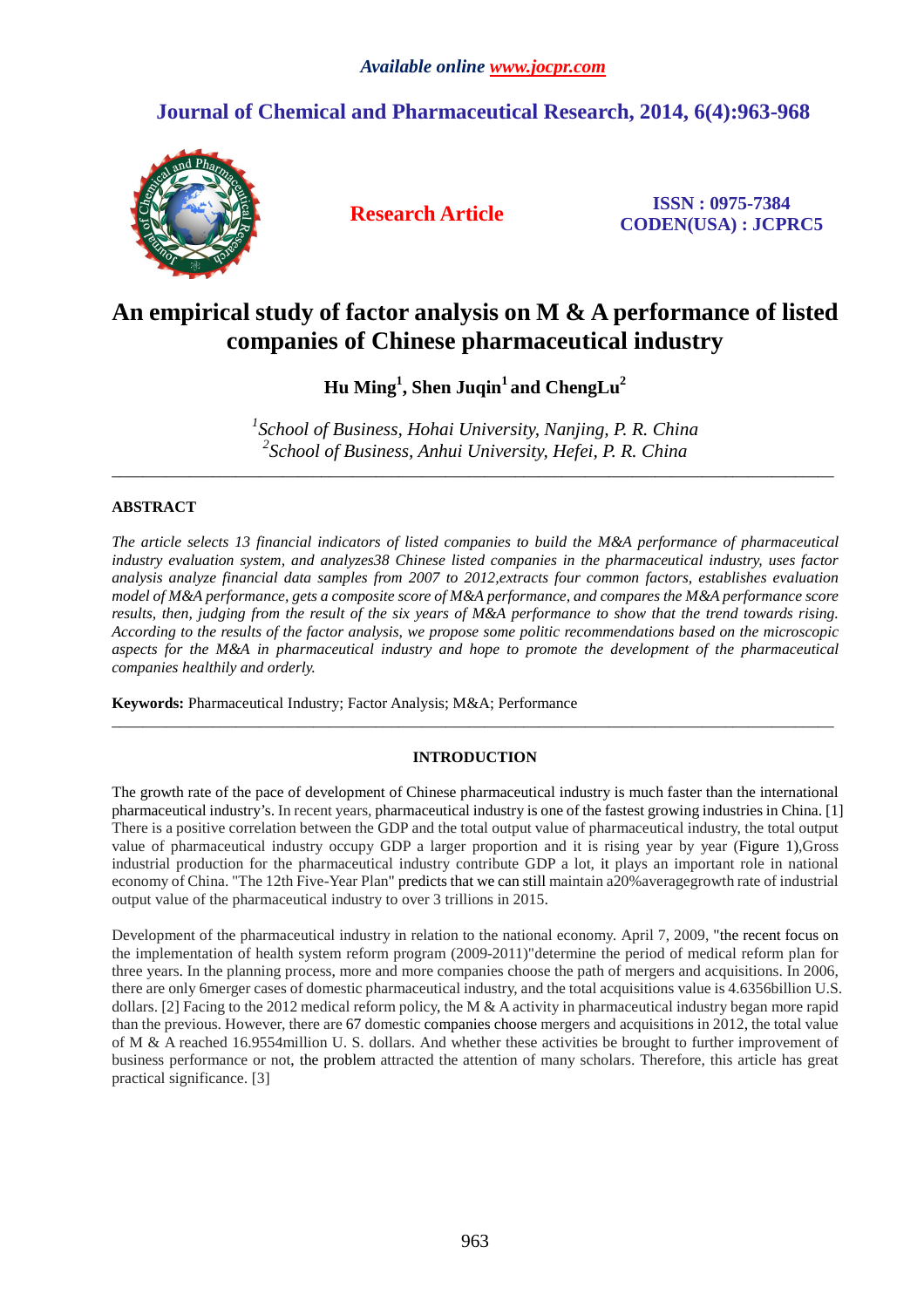# **Journal of Chemical and Pharmaceutical Research, 2014, 6(4):963-968**



**Research Article ISSN : 0975-7384 CODEN(USA) : JCPRC5**

# **An empirical study of factor analysis on M & A performance of listed companies of Chinese pharmaceutical industry**

**Hu Ming<sup>1</sup> , Shen Juqin<sup>1</sup>and ChengLu<sup>2</sup>**

*1 School of Business, Hohai University, Nanjing, P. R. China 2 School of Business, Anhui University, Hefei, P. R. China* 

\_\_\_\_\_\_\_\_\_\_\_\_\_\_\_\_\_\_\_\_\_\_\_\_\_\_\_\_\_\_\_\_\_\_\_\_\_\_\_\_\_\_\_\_\_\_\_\_\_\_\_\_\_\_\_\_\_\_\_\_\_\_\_\_\_\_\_\_\_\_\_\_\_\_\_\_\_\_\_\_\_\_\_\_\_\_\_\_\_\_\_\_\_

# **ABSTRACT**

*The article selects 13 financial indicators of listed companies to build the M&A performance of pharmaceutical industry evaluation system, and analyzes38 Chinese listed companies in the pharmaceutical industry, uses factor analysis analyze financial data samples from 2007 to 2012,extracts four common factors, establishes evaluation model of M&A performance, gets a composite score of M&A performance, and compares the M&A performance score results, then, judging from the result of the six years of M&A performance to show that the trend towards rising. According to the results of the factor analysis, we propose some politic recommendations based on the microscopic aspects for the M&A in pharmaceutical industry and hope to promote the development of the pharmaceutical companies healthily and orderly.* 

**Keywords:** Pharmaceutical Industry; Factor Analysis; M&A; Performance

# **INTRODUCTION**

\_\_\_\_\_\_\_\_\_\_\_\_\_\_\_\_\_\_\_\_\_\_\_\_\_\_\_\_\_\_\_\_\_\_\_\_\_\_\_\_\_\_\_\_\_\_\_\_\_\_\_\_\_\_\_\_\_\_\_\_\_\_\_\_\_\_\_\_\_\_\_\_\_\_\_\_\_\_\_\_\_\_\_\_\_\_\_\_\_\_\_\_\_

The growth rate of the pace of development of Chinese pharmaceutical industry is much faster than the international pharmaceutical industry's. In recent years, pharmaceutical industry is one of the fastest growing industries in China. [1] There is a positive correlation between the GDP and the total output value of pharmaceutical industry, the total output value of pharmaceutical industry occupy GDP a larger proportion and it is rising year by year (Figure 1),Gross industrial production for the pharmaceutical industry contribute GDP a lot, it plays an important role in national economy of China. "The 12th Five-Year Plan" predicts that we can still maintain a20%averagegrowth rate of industrial output value of the pharmaceutical industry to over 3 trillions in 2015.

Development of the pharmaceutical industry in relation to the national economy. April 7, 2009, "the recent focus on the implementation of health system reform program (2009-2011)"determine the period of medical reform plan for three years. In the planning process, more and more companies choose the path of mergers and acquisitions. In 2006, there are only 6merger cases of domestic pharmaceutical industry, and the total acquisitions value is 4.6356billion U.S. dollars. [2] Facing to the 2012 medical reform policy, the M & A activity in pharmaceutical industry began more rapid than the previous. However, there are 67 domestic companies choose mergers and acquisitions in 2012, the total value of M & A reached 16.9554million U. S. dollars. And whether these activities be brought to further improvement of business performance or not, the problem attracted the attention of many scholars. Therefore, this article has great practical significance. [3]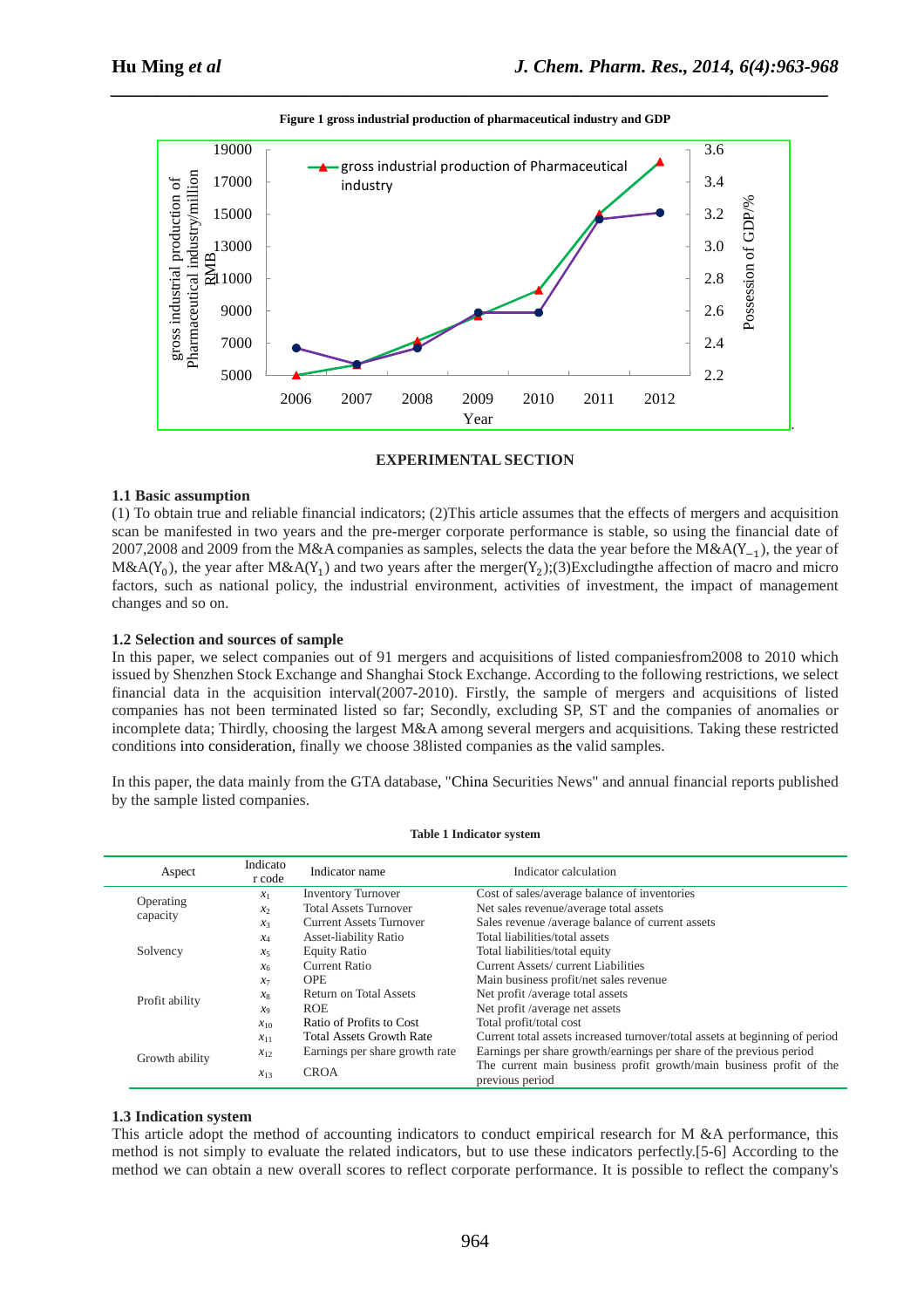

# **Figure 1 gross industrial production of pharmaceutical industry and GDP**

*\_\_\_\_\_\_\_\_\_\_\_\_\_\_\_\_\_\_\_\_\_\_\_\_\_\_\_\_\_\_\_\_\_\_\_\_\_\_\_\_\_\_\_\_\_\_\_\_\_\_\_\_\_\_\_\_\_\_\_\_\_\_\_\_\_\_\_\_\_\_\_\_\_\_\_\_\_*

# **EXPERIMENTAL SECTION**

# **1.1 Basic assumption**

(1) To obtain true and reliable financial indicators; (2)This article assumes that the effects of mergers and acquisition scan be manifested in two years and the pre-merger corporate performance is stable, so using the financial date of 2007,2008 and 2009 from the M&A companies as samples, selects the data the year before the M&A( $Y_{-1}$ ), the year of M&A(Y<sub>0</sub>), the year after M&A(Y<sub>1</sub>) and two years after the merger(Y<sub>2</sub>);(3)Excludingthe affection of macro and micro factors, such as national policy, the industrial environment, activities of investment, the impact of management changes and so on.

# **1.2 Selection and sources of sample**

In this paper, we select companies out of 91 mergers and acquisitions of listed companiesfrom2008 to 2010 which issued by Shenzhen Stock Exchange and Shanghai Stock Exchange. According to the following restrictions, we select financial data in the acquisition interval(2007-2010). Firstly, the sample of mergers and acquisitions of listed companies has not been terminated listed so far; Secondly, excluding SP, ST and the companies of anomalies or incomplete data; Thirdly, choosing the largest M&A among several mergers and acquisitions. Taking these restricted conditions into consideration, finally we choose 38listed companies as the valid samples.

In this paper, the data mainly from the GTA database, "China Securities News" and annual financial reports published by the sample listed companies.

| Aspect         | Indicato<br>r code | Indicator calculation<br>Indicator name |                                                                                        |
|----------------|--------------------|-----------------------------------------|----------------------------------------------------------------------------------------|
|                | $x_1$              | <b>Inventory Turnover</b>               | Cost of sales/average balance of inventories                                           |
| Operating      | $\mathcal{X}$      | <b>Total Assets Turnover</b>            | Net sales revenue/average total assets                                                 |
| capacity       | $x_3$              | <b>Current Assets Turnover</b>          | Sales revenue /average balance of current assets                                       |
|                | $x_4$              | Asset-liability Ratio                   | Total liabilities/total assets                                                         |
| Solvency       | $x_5$              | <b>Equity Ratio</b>                     | Total liabilities/total equity                                                         |
|                | x <sub>6</sub>     | <b>Current Ratio</b>                    | Current Assets/current Liabilities                                                     |
|                | $x_7$              | <b>OPE</b>                              | Main business profit/net sales revenue                                                 |
|                | $x_8$              | Return on Total Assets                  | Net profit /average total assets                                                       |
| Profit ability | x <sub>9</sub>     | <b>ROE</b>                              | Net profit /average net assets                                                         |
|                | $x_{10}$           | Ratio of Profits to Cost                | Total profit/total cost                                                                |
|                | $x_{11}$           | <b>Total Assets Growth Rate</b>         | Current total assets increased turnover/total assets at beginning of period            |
|                | $x_{12}$           | Earnings per share growth rate          | Earnings per share growth/earnings per share of the previous period                    |
| Growth ability | $x_{13}$           | <b>CROA</b>                             | The current main business profit growth/main business profit of the<br>previous period |

#### **Table 1 Indicator system**

### **1.3 Indication system**

This article adopt the method of accounting indicators to conduct empirical research for M &A performance, this method is not simply to evaluate the related indicators, but to use these indicators perfectly.[5-6] According to the method we can obtain a new overall scores to reflect corporate performance. It is possible to reflect the company's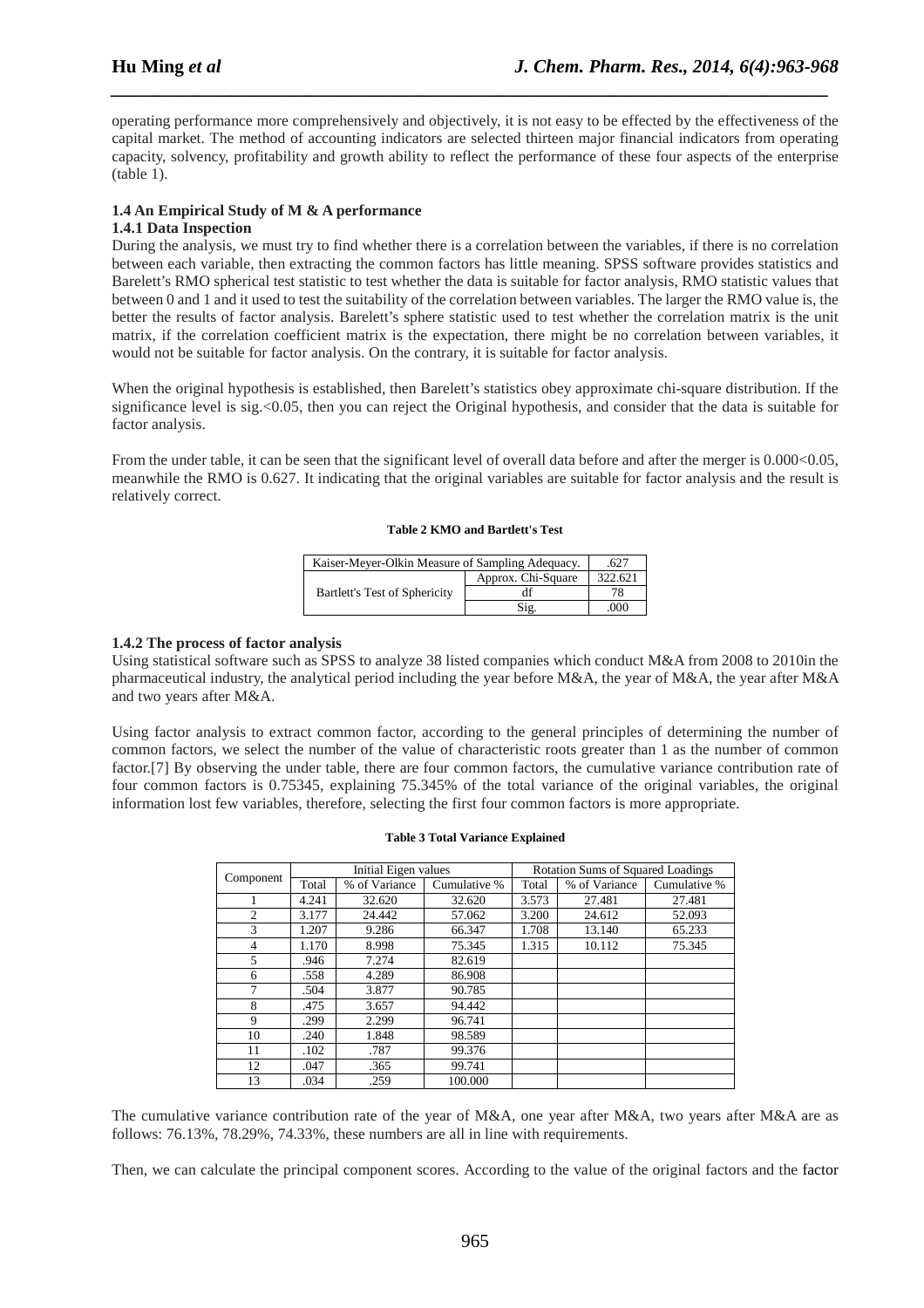operating performance more comprehensively and objectively, it is not easy to be effected by the effectiveness of the capital market. The method of accounting indicators are selected thirteen major financial indicators from operating capacity, solvency, profitability and growth ability to reflect the performance of these four aspects of the enterprise (table 1).

*\_\_\_\_\_\_\_\_\_\_\_\_\_\_\_\_\_\_\_\_\_\_\_\_\_\_\_\_\_\_\_\_\_\_\_\_\_\_\_\_\_\_\_\_\_\_\_\_\_\_\_\_\_\_\_\_\_\_\_\_\_\_\_\_\_\_\_\_\_\_\_\_\_\_\_\_\_*

# **1.4 An Empirical Study of M & A performance 1.4.1 Data Inspection**

During the analysis, we must try to find whether there is a correlation between the variables, if there is no correlation between each variable, then extracting the common factors has little meaning. SPSS software provides statistics and Barelett's RMO spherical test statistic to test whether the data is suitable for factor analysis, RMO statistic values that between 0 and 1 and it used to test the suitability of the correlation between variables. The larger the RMO value is, the better the results of factor analysis. Barelett's sphere statistic used to test whether the correlation matrix is the unit matrix, if the correlation coefficient matrix is the expectation, there might be no correlation between variables, it would not be suitable for factor analysis. On the contrary, it is suitable for factor analysis.

When the original hypothesis is established, then Barelett's statistics obey approximate chi-square distribution. If the significance level is sig.<0.05, then you can reject the Original hypothesis, and consider that the data is suitable for factor analysis.

From the under table, it can be seen that the significant level of overall data before and after the merger is 0.000<0.05, meanwhile the RMO is 0.627. It indicating that the original variables are suitable for factor analysis and the result is relatively correct.

## **Table 2 KMO and Bartlett's Test**

| Kaiser-Meyer-Olkin Measure of Sampling Adequacy. |                    | .627    |
|--------------------------------------------------|--------------------|---------|
|                                                  | Approx. Chi-Square | 322.621 |
| Bartlett's Test of Sphericity                    |                    | 78      |
|                                                  | Sig.               | .000    |

# **1.4.2 The process of factor analysis**

Using statistical software such as SPSS to analyze 38 listed companies which conduct M&A from 2008 to 2010in the pharmaceutical industry, the analytical period including the year before M&A, the year of M&A, the year after M&A and two years after M&A.

Using factor analysis to extract common factor, according to the general principles of determining the number of common factors, we select the number of the value of characteristic roots greater than 1 as the number of common factor.[7] By observing the under table, there are four common factors, the cumulative variance contribution rate of four common factors is 0.75345, explaining 75.345% of the total variance of the original variables, the original information lost few variables, therefore, selecting the first four common factors is more appropriate.

## **Table 3 Total Variance Explained**

| Component | Initial Eigen values |               |              | <b>Rotation Sums of Squared Loadings</b> |               |              |
|-----------|----------------------|---------------|--------------|------------------------------------------|---------------|--------------|
|           | Total                | % of Variance | Cumulative % | Total                                    | % of Variance | Cumulative % |
|           | 4.241                | 32.620        | 32.620       | 3.573                                    | 27.481        | 27.481       |
| 2         | 3.177                | 24.442        | 57.062       | 3.200                                    | 24.612        | 52.093       |
| 3         | 1.207                | 9.286         | 66.347       | 1.708                                    | 13.140        | 65.233       |
| 4         | 1.170                | 8.998         | 75.345       | 1.315                                    | 10.112        | 75.345       |
| 5         | .946                 | 7.274         | 82.619       |                                          |               |              |
| 6         | .558                 | 4.289         | 86.908       |                                          |               |              |
|           | .504                 | 3.877         | 90.785       |                                          |               |              |
| 8         | .475                 | 3.657         | 94.442       |                                          |               |              |
| 9         | .299                 | 2.299         | 96.741       |                                          |               |              |
| 10        | .240                 | 1.848         | 98.589       |                                          |               |              |
| 11        | .102                 | .787          | 99.376       |                                          |               |              |
| 12        | .047                 | .365          | 99.741       |                                          |               |              |
| 13        | .034                 | .259          | 100.000      |                                          |               |              |

The cumulative variance contribution rate of the year of M&A, one year after M&A, two years after M&A are as follows: 76.13%, 78.29%, 74.33%, these numbers are all in line with requirements.

Then, we can calculate the principal component scores. According to the value of the original factors and the factor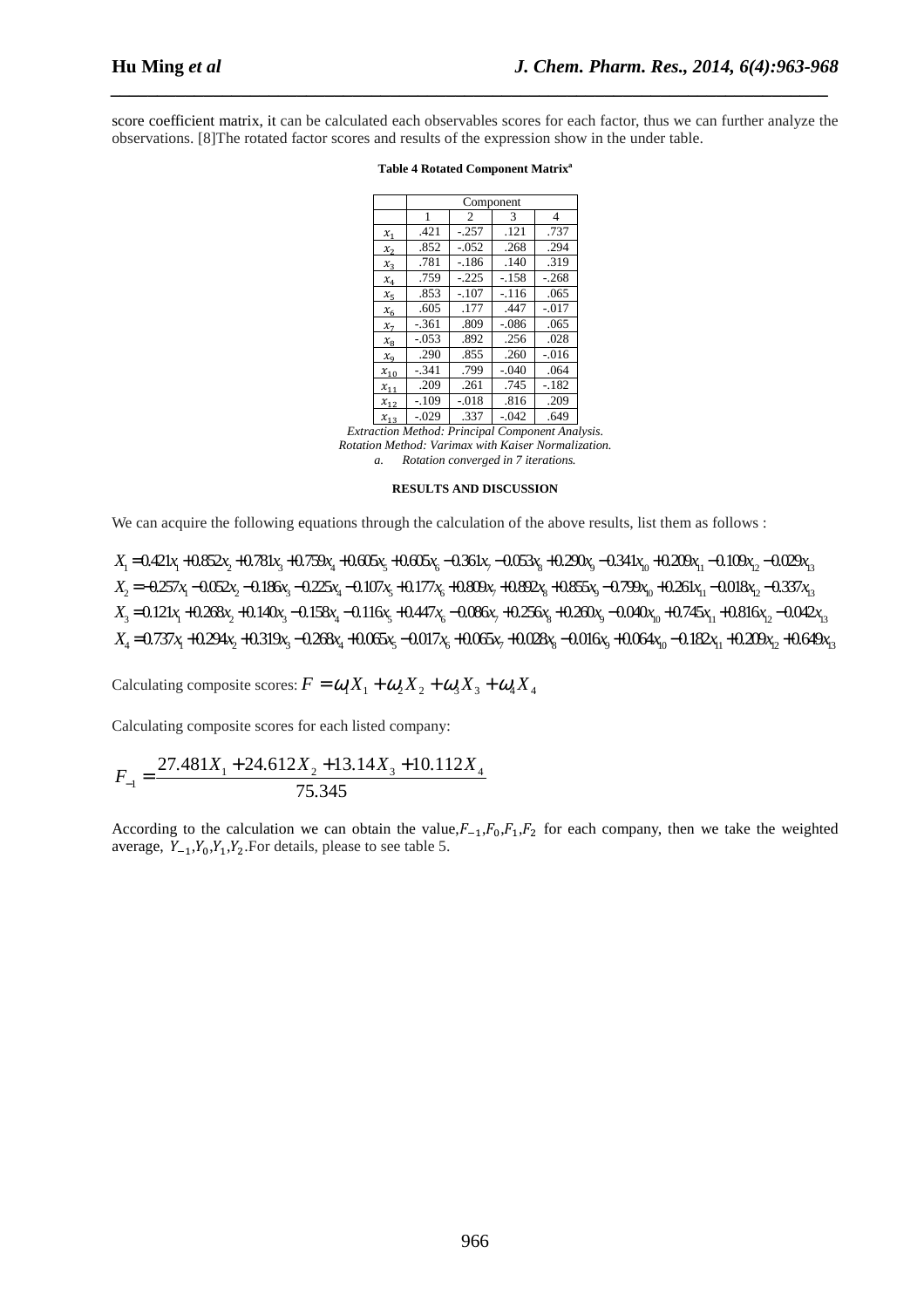score coefficient matrix, it can be calculated each observables scores for each factor, thus we can further analyze the observations. [8]The rotated factor scores and results of the expression show in the under table.

*\_\_\_\_\_\_\_\_\_\_\_\_\_\_\_\_\_\_\_\_\_\_\_\_\_\_\_\_\_\_\_\_\_\_\_\_\_\_\_\_\_\_\_\_\_\_\_\_\_\_\_\_\_\_\_\_\_\_\_\_\_\_\_\_\_\_\_\_\_\_\_\_\_\_\_\_\_*

|                             | Component |         |         |          |  |  |
|-----------------------------|-----------|---------|---------|----------|--|--|
|                             | 1         | 2       | 3       | 4        |  |  |
| $x_1$                       | .421      | $-.257$ | .121    | .737     |  |  |
| $x_2$                       | .852      | $-.052$ | .268    | .294     |  |  |
| $x_3$                       | .781      | $-186$  | .140    | .319     |  |  |
| $x_4$                       | .759      | $-225$  | $-.158$ | $-.268$  |  |  |
| $x_{5}$                     | .853      | $-.107$ | $-.116$ | .065     |  |  |
| $x_{6}$                     | .605      | .177    | .447    | $-0.017$ |  |  |
| $x_{7}$                     | $-.361$   | .809    | $-.086$ | .065     |  |  |
| $\mathcal{X}_{\mathcal{R}}$ | $-0.053$  | .892    | .256    | .028     |  |  |
| $x_{9}$                     | .290      | .855    | .260    | $-.016$  |  |  |
| $x_{10}$                    | $-.341$   | .799    | $-.040$ | .064     |  |  |
| $x_{11}$                    | .209      | .261    | .745    | $-.182$  |  |  |
| $x_{12}$                    | $-.109$   | $-.018$ | .816    | .209     |  |  |
| $x_{13}$                    | $-.029$   | .337    | $-.042$ | .649     |  |  |

#### **Table 4 Rotated Component Matrix<sup>a</sup>**

*Extraction Method: Principal Component Analysis. Rotation Method: Varimax with Kaiser Normalization. a. Rotation converged in 7 iterations.* 

#### **RESULTS AND DISCUSSION**

We can acquire the following equations through the calculation of the above results, list them as follows :

 $X_1 = 0.421x_1 + 0.852x_2 + 0.781x_3 + 0.759x_4 + 0.605x_5 + 0.605x_6 - 0.361x_7 - 0.053x_8 + 0.290x_9 - 0.341x_{10} + 0.209x_{11} - 0.109x_{12} - 0.029x_{13}$  $X_2 = -0.257x_1 - 0.052x_2 - 0.186x_3 - 0.225x_4 - 0.107x_5 + 0.177x_6 + 0.892x_5 + 0.855x_6 - 0.799x_6 + 0.261x_1 - 0.018x_2 - 0.337x_3$  $X_3 = 0.121x_1 + 0.268x_2 + 0.140x_3 - 0.158x_4 - 0.116x_5 + 0.447x_6 - 0.086x_7 + 0.256x_8 + 0.260x_9 - 0.040x_{10} + 0.745x_{11} + 0.816x_{12} - 0.042x_{13}$  $X_4 = 0.737x_1 + 0.294x_2 + 0.319x_3 - 0.268x_4 + 0.065x_5 - 0.017x_6 + 0.065x_7 + 0.028x_8 - 0.016x_9 + 0.064x_{10} - 0.182x_{11} + 0.209x_{12} + 0.649x_{13}$ 

Calculating composite scores:  $F = \omega_1 X_1 + \omega_2 X_2 + \omega_3 X_3 + \omega_4 X_4$ 

Calculating composite scores for each listed company:

$$
F_{-1} = \frac{27.481X_1 + 24.612X_2 + 13.14X_3 + 10.112X_4}{75.345}
$$

According to the calculation we can obtain the value,  $F_{-1}$ ,  $F_0$ ,  $F_1$ ,  $F_2$  for each company, then we take the weighted average,  $Y_{-1}$ ,  $Y_0$ ,  $Y_1$ ,  $Y_2$ . For details, please to see table 5.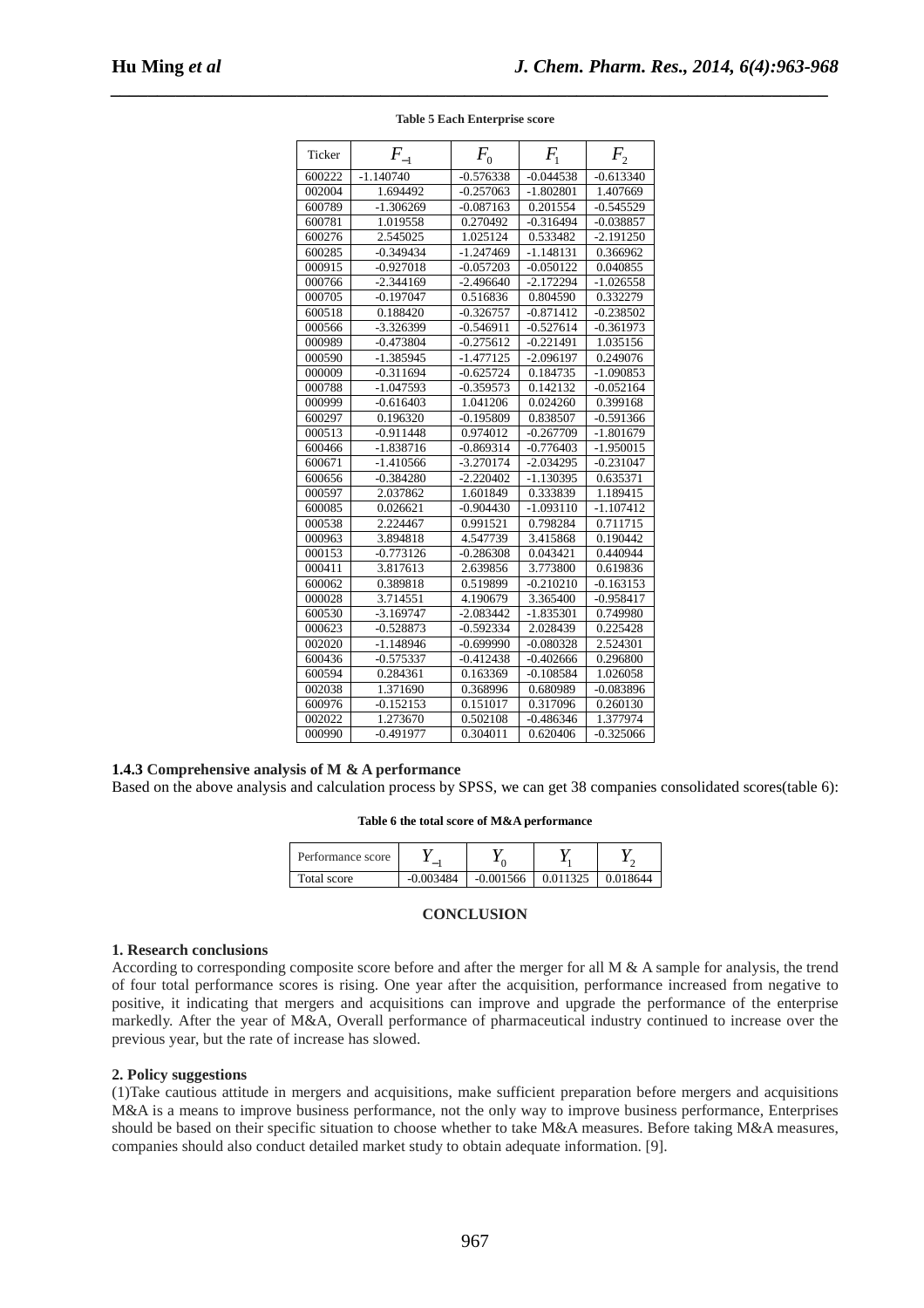| Ticker | $F_{-1}$    | $F_{0}$     | $F_{1}$     | $F_{2}$     |
|--------|-------------|-------------|-------------|-------------|
| 600222 | $-1.140740$ | $-0.576338$ | $-0.044538$ | $-0.613340$ |
| 002004 | 1.694492    | $-0.257063$ | $-1.802801$ | 1.407669    |
| 600789 | $-1.306269$ | $-0.087163$ | 0.201554    | $-0.545529$ |
| 600781 | 1.019558    | 0.270492    | $-0.316494$ | $-0.038857$ |
| 600276 | 2.545025    | 1.025124    | 0.533482    | $-2.191250$ |
| 600285 | $-0.349434$ | $-1.247469$ | $-1.148131$ | 0.366962    |
| 000915 | $-0.927018$ | $-0.057203$ | $-0.050122$ | 0.040855    |
| 000766 | $-2.344169$ | $-2.496640$ | $-2.172294$ | $-1.026558$ |
| 000705 | $-0.197047$ | 0.516836    | 0.804590    | 0.332279    |
| 600518 | 0.188420    | $-0.326757$ | $-0.871412$ | $-0.238502$ |
| 000566 | -3.326399   | $-0.546911$ | $-0.527614$ | $-0.361973$ |
| 000989 | $-0.473804$ | $-0.275612$ | $-0.221491$ | 1.035156    |
| 000590 | $-1.385945$ | $-1.477125$ | $-2.096197$ | 0.249076    |
| 000009 | $-0.311694$ | -0.625724   | 0.184735    | $-1.090853$ |
| 000788 | $-1.047593$ | $-0.359573$ | 0.142132    | $-0.052164$ |
| 000999 | $-0.616403$ | 1.041206    | 0.024260    | 0.399168    |
| 600297 | 0.196320    | $-0.195809$ | 0.838507    | $-0.591366$ |
| 000513 | $-0.911448$ | 0.974012    | $-0.267709$ | $-1.801679$ |
| 600466 | $-1.838716$ | $-0.869314$ | $-0.776403$ | $-1.950015$ |
| 600671 | $-1.410566$ | $-3.270174$ | $-2.034295$ | $-0.231047$ |
| 600656 | $-0.384280$ | $-2.220402$ | $-1.130395$ | 0.635371    |
| 000597 | 2.037862    | 1.601849    | 0.333839    | 1.189415    |
| 600085 | 0.026621    | $-0.904430$ | $-1.093110$ | $-1.107412$ |
| 000538 | 2.224467    | 0.991521    | 0.798284    | 0.711715    |
| 000963 | 3.894818    | 4.547739    | 3.415868    | 0.190442    |
| 000153 | $-0.773126$ | $-0.286308$ | 0.043421    | 0.440944    |
| 000411 | 3.817613    | 2.639856    | 3.773800    | 0.619836    |
| 600062 | 0.389818    | 0.519899    | $-0.210210$ | $-0.163153$ |
| 000028 | 3.714551    | 4.190679    | 3.365400    | $-0.958417$ |
| 600530 | $-3.169747$ | $-2.083442$ | $-1.835301$ | 0.749980    |
| 000623 | $-0.528873$ | $-0.592334$ | 2.028439    | 0.225428    |
| 002020 | -1.148946   | $-0.699990$ | $-0.080328$ | 2.524301    |
| 600436 | $-0.575337$ | $-0.412438$ | $-0.402666$ | 0.296800    |
| 600594 | 0.284361    | 0.163369    | $-0.108584$ | 1.026058    |
| 002038 | 1.371690    | 0.368996    | 0.680989    | $-0.083896$ |
| 600976 | $-0.152153$ | 0.151017    | 0.317096    | 0.260130    |
| 002022 | 1.273670    | 0.502108    | $-0.486346$ | 1.377974    |
| 000990 | $-0.491977$ | 0.304011    | 0.620406    | $-0.325066$ |

*\_\_\_\_\_\_\_\_\_\_\_\_\_\_\_\_\_\_\_\_\_\_\_\_\_\_\_\_\_\_\_\_\_\_\_\_\_\_\_\_\_\_\_\_\_\_\_\_\_\_\_\_\_\_\_\_\_\_\_\_\_\_\_\_\_\_\_\_\_\_\_\_\_\_\_\_\_* **Table 5 Each Enterprise score** 

# **1.4.3 Comprehensive analysis of M & A performance**

Based on the above analysis and calculation process by SPSS, we can get 38 companies consolidated scores(table 6):

**Table 6 the total score of M&A performance** 

| Performance score |             |             |          |          |
|-------------------|-------------|-------------|----------|----------|
| Total score       | $-0.003484$ | $-0.001566$ | 0.011325 | 0.018644 |

# **CONCLUSION**

### **1. Research conclusions**

According to corresponding composite score before and after the merger for all  $M \& A$  sample for analysis, the trend of four total performance scores is rising. One year after the acquisition, performance increased from negative to positive, it indicating that mergers and acquisitions can improve and upgrade the performance of the enterprise markedly. After the year of M&A, Overall performance of pharmaceutical industry continued to increase over the previous year, but the rate of increase has slowed.

## **2. Policy suggestions**

(1)Take cautious attitude in mergers and acquisitions, make sufficient preparation before mergers and acquisitions M&A is a means to improve business performance, not the only way to improve business performance, Enterprises should be based on their specific situation to choose whether to take M&A measures. Before taking M&A measures, companies should also conduct detailed market study to obtain adequate information. [9].